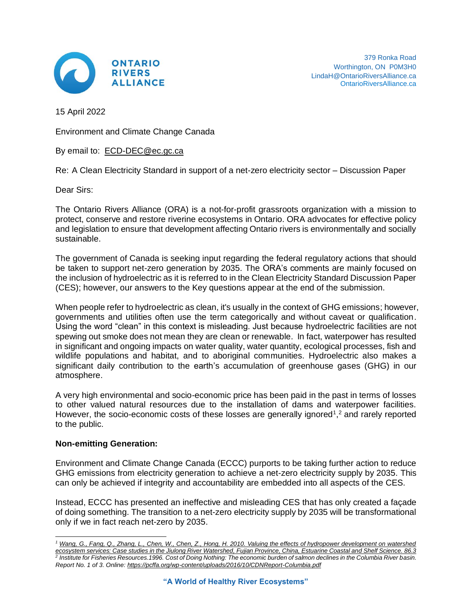

379 Ronka Road Worthington, ON P0M3H0 LindaH@OntarioRiversAlliance.ca [OntarioRiversAlliance.ca](http://ontarioriversalliance.ca/)

15 April 2022

Environment and Climate Change Canada

By email to: [ECD-DEC@ec.gc.ca](mailto:ECD-DEC@ec.gc.ca)

Re: A Clean Electricity Standard in support of a net-zero electricity sector – Discussion Paper

Dear Sirs:

The Ontario Rivers Alliance (ORA) is a not-for-profit grassroots organization with a mission to protect, conserve and restore riverine ecosystems in Ontario. ORA advocates for effective policy and legislation to ensure that development affecting Ontario rivers is environmentally and socially sustainable.

The government of Canada is seeking input regarding the federal regulatory actions that should be taken to support net-zero generation by 2035. The ORA's comments are mainly focused on the inclusion of hydroelectric as it is referred to in the Clean Electricity Standard Discussion Paper (CES); however, our answers to the Key questions appear at the end of the submission.

When people refer to hydroelectric as clean, it's usually in the context of GHG emissions; however, governments and utilities often use the term categorically and without caveat or qualification. Using the word "clean" in this context is misleading. Just because hydroelectric facilities are not spewing out smoke does not mean they are clean or renewable. In fact, waterpower has resulted in significant and ongoing impacts on water quality, water quantity, ecological processes, fish and wildlife populations and habitat, and to aboriginal communities. Hydroelectric also makes a significant daily contribution to the earth's accumulation of greenhouse gases (GHG) in our atmosphere.

A very high environmental and socio-economic price has been paid in the past in terms of losses to other valued natural resources due to the installation of dams and waterpower facilities. However, the socio-economic costs of these losses are generally ignored<sup>1</sup>,<sup>2</sup> and rarely reported to the public.

# **Non-emitting Generation:**

Environment and Climate Change Canada (ECCC) purports to be taking further action to reduce GHG emissions from electricity generation to achieve a net-zero electricity supply by 2035. This can only be achieved if integrity and accountability are embedded into all aspects of the CES.

Instead, ECCC has presented an ineffective and misleading CES that has only created a façade of doing something. The transition to a net-zero electricity supply by 2035 will be transformational only if we in fact reach net-zero by 2035.

*<sup>1</sup> [Wang, G., Fang, Q., Zhang, L., Chen, W., Chen, Z., Hong, H. 2010. Valuing the effects of hydropower development on watershed](http://www.sciencedirect.com/science/article/pii/S0272771409001401)*  <u>[ecosystem services: Case studies in the Jiulong River Watershed, Fujian Province, China, Estuarine Coastal and Shelf Science. 86.3](http://www.sciencedirect.com/science/article/pii/S0272771409001401)</u><br><sup>2</sup> Institute for Fisheries Resources.1996. Cost of Doing Nothing: The economic burden of *Report No. 1 of 3. Online:<https://pcffa.org/wp-content/uploads/2016/10/CDNReport-Columbia.pdf>*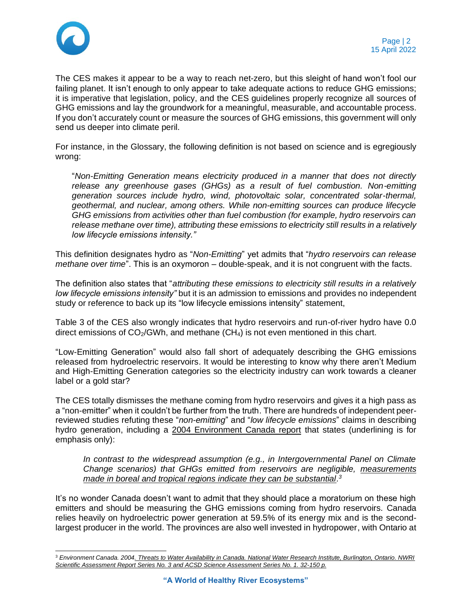

The CES makes it appear to be a way to reach net-zero, but this sleight of hand won't fool our failing planet. It isn't enough to only appear to take adequate actions to reduce GHG emissions; it is imperative that legislation, policy, and the CES guidelines properly recognize all sources of GHG emissions and lay the groundwork for a meaningful, measurable, and accountable process. If you don't accurately count or measure the sources of GHG emissions, this government will only send us deeper into climate peril.

For instance, in the Glossary, the following definition is not based on science and is egregiously wrong:

"*Non-Emitting Generation means electricity produced in a manner that does not directly*  release any greenhouse gases (GHGs) as a result of fuel combustion. Non-emitting *generation sources include hydro, wind, photovoltaic solar, concentrated solar-thermal, geothermal, and nuclear, among others. While non-emitting sources can produce lifecycle GHG emissions from activities other than fuel combustion (for example, hydro reservoirs can release methane over time), attributing these emissions to electricity still results in a relatively low lifecycle emissions intensity."*

This definition designates hydro as "*Non-Emitting*" yet admits that "*hydro reservoirs can release methane over time*". This is an oxymoron – double-speak, and it is not congruent with the facts.

The definition also states that "*attributing these emissions to electricity still results in a relatively low lifecycle emissions intensity"* but it is an admission to emissions and provides no independent study or reference to back up its "low lifecycle emissions intensity" statement,

Table 3 of the CES also wrongly indicates that hydro reservoirs and run-of-river hydro have 0.0 direct emissions of  $CO<sub>2</sub>/GWh$ , and methane  $(CH<sub>4</sub>)$  is not even mentioned in this chart.

"Low-Emitting Generation" would also fall short of adequately describing the GHG emissions released from hydroelectric reservoirs. It would be interesting to know why there aren't Medium and High-Emitting Generation categories so the electricity industry can work towards a cleaner label or a gold star?

The CES totally dismisses the methane coming from hydro reservoirs and gives it a high pass as a "non-emitter" when it couldn't be further from the truth. There are hundreds of independent peerreviewed studies refuting these "*non-emitting*" and "*low lifecycle emissions*" claims in describing hydro generation, including a 2004 Environment Canada report that states (underlining is for emphasis only):

*In contrast to the widespread assumption (e.g., in Intergovernmental Panel on Climate Change scenarios) that GHGs emitted from reservoirs are negligible, measurements made in boreal and tropical regions indicate they can be substantial. 3*

It's no wonder Canada doesn't want to admit that they should place a moratorium on these high emitters and should be measuring the GHG emissions coming from hydro reservoirs. Canada relies heavily on hydroelectric power generation at 59.5% of its energy mix and is the secondlargest producer in the world. The provinces are also well invested in hydropower, with Ontario at

<sup>3</sup> *Environment Canada. 200[4. Threats to Water Availability in Canada. National Water Research Institute, Burlington, Ontario. NWRI](https://docplayer.net/47312961-Threats-to-water-availability-in-canada.html)  [Scientific Assessment Report Series No. 3 and ACSD Science Assessment Series No. 1. 32-150 p.](https://docplayer.net/47312961-Threats-to-water-availability-in-canada.html)*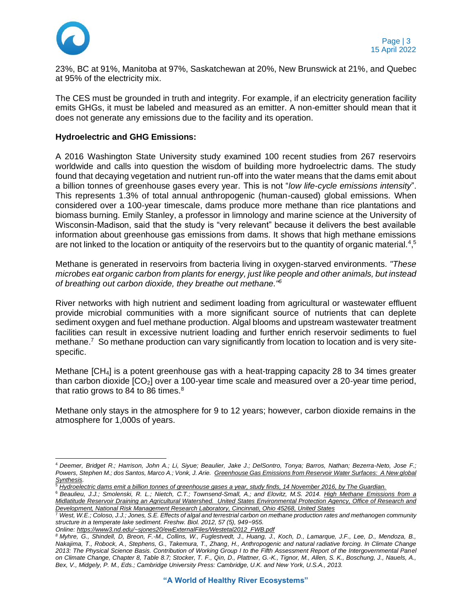

23%, BC at 91%, Manitoba at 97%, Saskatchewan at 20%, New Brunswick at 21%, and Quebec at 95% of the electricity mix.

The CES must be grounded in truth and integrity. For example, if an electricity generation facility emits GHGs, it must be labeled and measured as an emitter. A non-emitter should mean that it does not generate any emissions due to the facility and its operation.

### **Hydroelectric and GHG Emissions:**

A 2016 Washington State University study examined 100 recent studies from 267 reservoirs worldwide and calls into question the wisdom of building more hydroelectric dams. The study found that decaying vegetation and nutrient run-off into the water means that the dams emit about a billion tonnes of greenhouse gases every year. This is not "*low life-cycle emissions intensity*". This represents 1.3% of total annual anthropogenic (human-caused) global emissions. When considered over a 100-year timescale, dams produce more methane than rice plantations and biomass burning. Emily Stanley, a professor in limnology and marine science at the University of Wisconsin-Madison, said that the study is "very relevant" because it delivers the best available information about greenhouse gas emissions from dams. It shows that high methane emissions are not linked to the location or antiquity of the reservoirs but to the quantity of organic material.<sup>4,5</sup>

Methane is generated in reservoirs from bacteria living in oxygen-starved environments. *"These microbes eat organic carbon from plants for energy, just like people and other animals, but instead of breathing out carbon dioxide, they breathe out methane."<sup>6</sup>*

River networks with high nutrient and sediment loading from agricultural or wastewater effluent provide microbial communities with a more significant source of nutrients that can deplete sediment oxygen and fuel methane production. Algal blooms and upstream wastewater treatment facilities can result in excessive nutrient loading and further enrich reservoir sediments to fuel methane.<sup>7</sup> So methane production can vary significantly from location to location and is very sitespecific.

Methane [CH4] is a potent greenhouse gas with a heat-trapping capacity 28 to 34 times greater than carbon dioxide  $[CO_2]$  over a 100-year time scale and measured over a 20-year time period, that ratio grows to 84 to 86 times. $8$ 

Methane only stays in the atmosphere for 9 to 12 years; however, carbon dioxide remains in the atmosphere for 1,000s of years.

<sup>4</sup> *Deemer, Bridget R.; Harrison, John A.; Li, Siyue; Beaulier, Jake J.; DelSontro, Tonya; Barros, Nathan; Bezerra-Neto, Jose F.; Powers, Stephen M.; dos Santos, Marco A.; Vonk, J. Arie. [Greenhouse Gas Emissions from Reservoir Water Surfaces: A New global](https://academic.oup.com/bioscience/article/66/11/949/2754271)  [Synthesis.](https://academic.oup.com/bioscience/article/66/11/949/2754271)*

<sup>5</sup> *[Hydroelectric dams emit a billion tonnes of greenhouse gases a year, study finds, 14 November 2016, by The Guardian.](https://www.theguardian.com/global-development/2016/nov/14/hydroelectric-dams-emit-billion-tonnes-greenhouse-gas-methane-study-climate-change)*

<sup>6</sup> *Beaulieu, J.J.; Smolenski, R. L.; Nietch, C.T.; Townsend-Small, A.; and Elovitz, M.S. 2014. [High Methane Emissions from a](http://pubs.acs.org/doi/pdf/10.1021/es501871g)  [Midlatitude Reservoir Draining an Agricultural Watershed. United States](http://pubs.acs.org/doi/pdf/10.1021/es501871g) Environmental Protection Agency, Office of Research and [Development, National Risk Management Research Laboratory, Cincinnati, Ohio 45268, United States](http://pubs.acs.org/doi/pdf/10.1021/es501871g)*

<sup>7</sup> *West, W.E.; Coloso, J.J.; Jones, S.E. Effects of algal and terrestrial carbon on methane production rates and methanogen community structure in a temperate lake sediment. Freshw. Biol. 2012, 57 (5), 949−955.* 

*Online[: https://www3.nd.edu/~sjones20/ewExternalFiles/Westetal2012\\_FWB.pdf](https://www3.nd.edu/~sjones20/ewExternalFiles/Westetal2012_FWB.pdf)*

*<sup>8</sup> Myhre, G., Shindell, D, Breon, F.-M., Collins, W., Fuglestvedt, J., Huang, J., Koch, D., Lamarque, J.F., Lee, D., Mendoza, B., Nakajima, T., Robock, A., Stephens, G., Takemura, T., Zhang, H., Anthropogenic and natural radiative forcing. In Climate Change 2013: The Physical Science Basis. Contribution of Working Group I to the Fifth Assessment Report of the Intergovernmental Panel on Climate Change, Chapter 8, Table 8.7; Stocker, T. F., Qin, D., Plattner, G.-K., Tignor, M., Allen, S. K., Boschung, J., Nauels, A.,*  Bex, V., Midgely, P. M., Eds.; Cambridge University Press: Cambridge, U.K. and New York, U.S.A., 2013.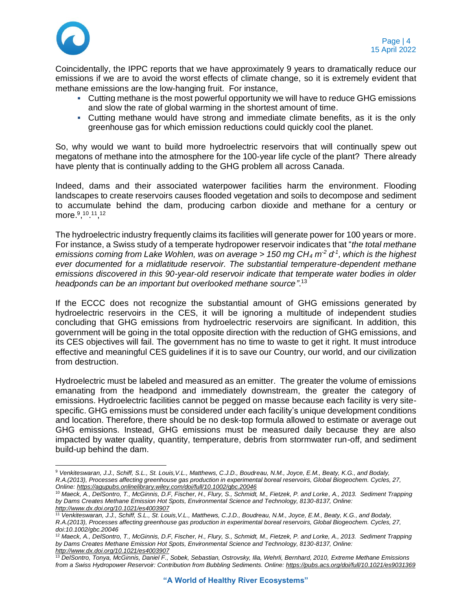

Coincidentally, the IPPC reports that we have approximately 9 years to dramatically reduce our emissions if we are to avoid the worst effects of climate change, so it is extremely evident that methane emissions are the low-hanging fruit. For instance,

- **Cutting methane is the most powerful opportunity we will have to reduce GHG emissions** and slow the rate of global warming in the shortest amount of time.
- Cutting methane would have strong and immediate climate benefits, as it is the only greenhouse gas for which emission reductions could quickly cool the planet.

So, why would we want to build more hydroelectric reservoirs that will continually spew out megatons of methane into the atmosphere for the 100-year life cycle of the plant? There already have plenty that is continually adding to the GHG problem all across Canada.

Indeed, dams and their associated waterpower facilities harm the environment. Flooding landscapes to create reservoirs causes flooded vegetation and soils to decompose and sediment to accumulate behind the dam, producing carbon dioxide and methane for a century or more.<sup>9</sup>,<sup>10</sup>.<sup>11</sup>,<sup>12</sup>

The hydroelectric industry frequently claims its facilities will generate power for 100 years or more. For instance, a Swiss study of a temperate hydropower reservoir indicates that "*the total methane emissions coming from Lake Wohlen, was on average > 150 mg CH<sup>4</sup> m-2 d -1 , which is the highest ever documented for a midlatitude reservoir. The substantial temperature-dependent methane emissions discovered in this 90-year-old reservoir indicate that temperate water bodies in older headponds can be an important but overlooked methane source"*. 13

If the ECCC does not recognize the substantial amount of GHG emissions generated by hydroelectric reservoirs in the CES, it will be ignoring a multitude of independent studies concluding that GHG emissions from hydroelectric reservoirs are significant. In addition, this government will be going in the total opposite direction with the reduction of GHG emissions, and its CES objectives will fail. The government has no time to waste to get it right. It must introduce effective and meaningful CES guidelines if it is to save our Country, our world, and our civilization from destruction.

Hydroelectric must be labeled and measured as an emitter. The greater the volume of emissions emanating from the headpond and immediately downstream, the greater the category of emissions. Hydroelectric facilities cannot be pegged on masse because each facility is very sitespecific. GHG emissions must be considered under each facility's unique development conditions and location. Therefore, there should be no desk-top formula allowed to estimate or average out GHG emissions. Instead, GHG emissions must be measured daily because they are also impacted by water quality, quantity, temperature, debris from stormwater run-off, and sediment build-up behind the dam.

<sup>9</sup> *Venkiteswaran, J.J., Schiff, S.L., St. Louis,V.L., Matthews, C.J.D., Boudreau, N.M., Joyce, E.M., Beaty, K.G., and Bodaly, R.A.(2013), Processes affecting greenhouse gas production in experimental boreal reservoirs, Global Biogeochem. Cycles, 27, Online[: https://agupubs.onlinelibrary.wiley.com/doi/full/10.1002/gbc.20046](https://agupubs.onlinelibrary.wiley.com/doi/full/10.1002/gbc.20046)*

<sup>10</sup> *Maeck, A., DelSontro, T., McGinnis, D.F, Fischer, H., Flury, S., Schmidt, M., Fietzek, P. and Lorke, A., 2013. Sediment Trapping by Dams Creates Methane Emission Hot Spots, Environmental Science and Technology, 8130-8137, Online: <http://www.dx.doi.org/10.1021/es4003907>*

<sup>11</sup> *Venkiteswaran, J.J., Schiff, S.L., St. Louis,V.L., Matthews, C.J.D., Boudreau, N.M., Joyce, E.M., Beaty, K.G., and Bodaly, R.A.(2013), Processes affecting greenhouse gas production in experimental boreal reservoirs, Global Biogeochem. Cycles, 27, doi:10.1002/gbc.20046*

<sup>12</sup> *Maeck, A., DelSontro, T., McGinnis, D.F, Fischer, H., Flury, S., Schmidt, M., Fietzek, P. and Lorke, A., 2013. Sediment Trapping by Dams Creates Methane Emission Hot Spots, Environmental Science and Technology, 8130-8137, Online: <http://www.dx.doi.org/10.1021/es4003907>*

<sup>13</sup> *DelSontro, Tonya, McGinnis, Daniel F., Sobek, Sebastian, Ostrovsky, Ilia, Wehrli, Bernhard, 2010, Extreme Methane Emissions from a Swiss Hydropower Reservoir: Contribution from Bubbling Sediments. Online:<https://pubs.acs.org/doi/full/10.1021/es9031369>*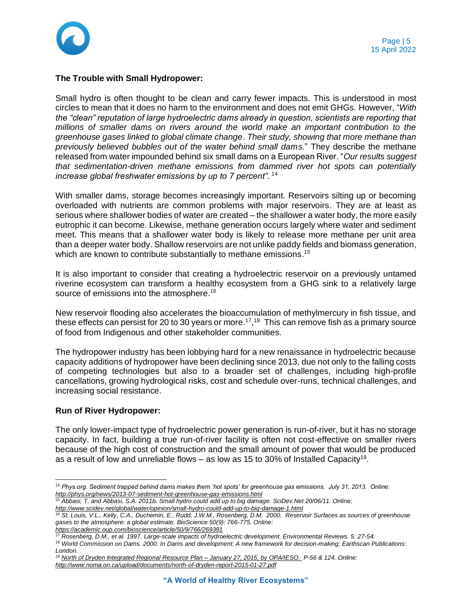

### **The Trouble with Small Hydropower:**

Small hydro is often thought to be clean and carry fewer impacts. This is understood in most circles to mean that it does no harm to the environment and does not emit GHGs. However, "*With the "clean" reputation of large hydroelectric dams already in question, scientists are reporting that millions of smaller dams on rivers around the world make an important contribution to the greenhouse gases linked to global climate change*. *Their study, showing that more methane than previously believed bubbles out of the water behind small dams.*" They describe the methane released from water impounded behind six small dams on a European River. "*Our results suggest that sedimentation-driven methane emissions from dammed river hot spots can potentially increase global freshwater emissions by up to 7 percent".* <sup>14</sup>

With smaller dams, storage becomes increasingly important. Reservoirs silting up or becoming overloaded with nutrients are common problems with major reservoirs. They are at least as serious where shallower bodies of water are created – the shallower a water body, the more easily eutrophic it can become. Likewise, methane generation occurs largely where water and sediment meet. This means that a shallower water body is likely to release more methane per unit area than a deeper water body. Shallow reservoirs are not unlike paddy fields and biomass generation, which are known to contribute substantially to methane emissions. *15*

It is also important to consider that creating a hydroelectric reservoir on a previously untamed riverine ecosystem can transform a healthy ecosystem from a GHG sink to a relatively large source of emissions into the atmosphere.*<sup>16</sup>*

New reservoir flooding also accelerates the bioaccumulation of methylmercury in fish tissue, and these effects can persist for 20 to 30 years or more.<sup>17</sup>,<sup>18</sup> This can remove fish as a primary source of food from Indigenous and other stakeholder communities.

The hydropower industry has been lobbying hard for a new renaissance in hydroelectric because capacity additions of hydropower have been declining since 2013, due not only to the falling costs of competing technologies but also to a broader set of challenges, including high-profile cancellations, growing hydrological risks, cost and schedule over-runs, technical challenges, and increasing social resistance.

### **Run of River Hydropower:**

The only lower-impact type of hydroelectric power generation is run-of-river, but it has no storage capacity. In fact, building a true run-of-river facility is often not cost-effective on smaller rivers because of the high cost of construction and the small amount of power that would be produced as a result of low and unreliable flows – as low as 15 to 30% of Installed Capacity<sup>19</sup>.

<sup>14</sup> *Phys.org. Sediment trapped behind dams makes them 'hot spots' for greenhouse gas emissions. July 31, 2013. Online: <http://phys.org/news/2013-07-sediment-hot-greenhouse-gas-emissions.html>*

<sup>15</sup> *Abbasi, T. and Abbasi, S.A. 2011b. Small hydro could add up to big damage. SciDev.Net 20/06/11. Online: <http://www.scidev.net/global/water/opinion/small-hydro-could-add-up-to-big-damage-1.html>*

<sup>16</sup> *St. Louis, V.L., Kelly, C.A., Duchemin, E., Rudd, J.W.M., Rosenberg, D.M. 2000. Reservoir Surfaces as sources of greenhouse gases to the atmosphere: a global estimate. BioScience 50(9): 766-775. Online: <https://academic.oup.com/bioscience/article/50/9/766/269391>*

<sup>17</sup> *Rosenberg, D.M., et al. 1997. Large-scale impacts of hydroelectric development. Environmental Reviews. 5: 27-54.*

<sup>18</sup> *World Commission on Dams. 2000. In Dams and development: A new framework for decision-making; Earthscan Publications: London.*

*<sup>19</sup> [North of Dryden Integrated Regional Resource Plan –](http://www.noma.on.ca/upload/documents/north-of-dryden-report-2015-01-27.pdf) January 27, 2015, by OPA/IESO. P-56 & 124. Online: <http://www.noma.on.ca/upload/documents/north-of-dryden-report-2015-01-27.pdf>*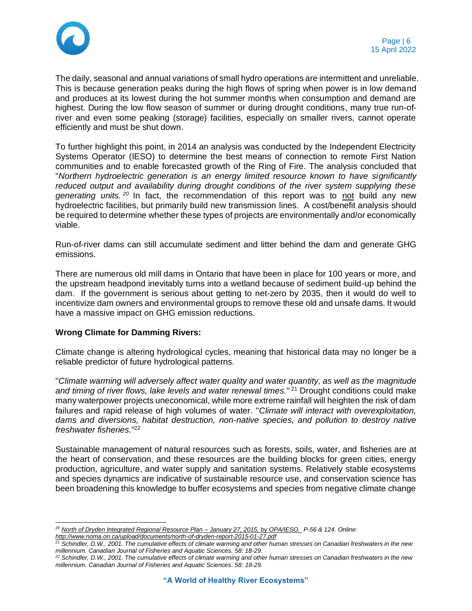

The daily, seasonal and annual variations of small hydro operations are intermittent and unreliable. This is because generation peaks during the high flows of spring when power is in low demand and produces at its lowest during the hot summer months when consumption and demand are highest. During the low flow season of summer or during drought conditions, many true run-ofriver and even some peaking (storage) facilities, especially on smaller rivers, cannot operate efficiently and must be shut down.

To further highlight this point, in 2014 an analysis was conducted by the Independent Electricity Systems Operator (IESO) to determine the best means of connection to remote First Nation communities and to enable forecasted growth of the Ring of Fire. The analysis concluded that "*Northern hydroelectric generation is an energy limited resource known to have significantly reduced output and availability during drought conditions of the river system supplying these generating units. <sup>20</sup>* In fact, the recommendation of this report was to not build any new hydroelectric facilities, but primarily build new transmission lines. A cost/benefit analysis should be required to determine whether these types of projects are environmentally and/or economically viable.

Run-of-river dams can still accumulate sediment and litter behind the dam and generate GHG emissions.

There are numerous old mill dams in Ontario that have been in place for 100 years or more, and the upstream headpond inevitably turns into a wetland because of sediment build-up behind the dam. If the government is serious about getting to net-zero by 2035, then it would do well to incentivize dam owners and environmental groups to remove these old and unsafe dams. It would have a massive impact on GHG emission reductions.

# **Wrong Climate for Damming Rivers:**

Climate change is altering hydrological cycles, meaning that historical data may no longer be a reliable predictor of future hydrological patterns.

"*Climate warming will adversely affect water quality and water quantity, as well as the magnitude*  and timing of river flows, lake levels and water renewal times."<sup>21</sup> Drought conditions could make many waterpower projects uneconomical, while more extreme rainfall will heighten the risk of dam failures and rapid release of high volumes of water. "*Climate will interact with overexploitation, dams and diversions, habitat destruction, non-native species, and pollution to destroy native freshwater fisheries.*" 22

Sustainable management of natural resources such as forests, soils, water, and fisheries are at the heart of conservation, and these resources are the building blocks for green cities, energy production, agriculture, and water supply and sanitation systems. Relatively stable ecosystems and species dynamics are indicative of sustainable resource use, and conservation science has been broadening this knowledge to buffer ecosystems and species from negative climate change

*<sup>20</sup> [North of Dryden Integrated Regional Resource Plan –](http://www.noma.on.ca/upload/documents/north-of-dryden-report-2015-01-27.pdf) January 27, 2015, by OPA/IESO. P-56 & 124. Online:* 

*<http://www.noma.on.ca/upload/documents/north-of-dryden-report-2015-01-27.pdf>*

*<sup>21</sup> Schindler, D.W., 2001. The cumulative effects of climate warming and other human stresses on Canadian freshwaters in the new millennium. Canadian Journal of Fisheries and Aquatic Sciences. 58: 18-29.*

*<sup>22</sup> Schindler, D.W., 2001. The cumulative effects of climate warming and other human stresses on Canadian freshwaters in the new millennium. Canadian Journal of Fisheries and Aquatic Sciences. 58: 18-29.*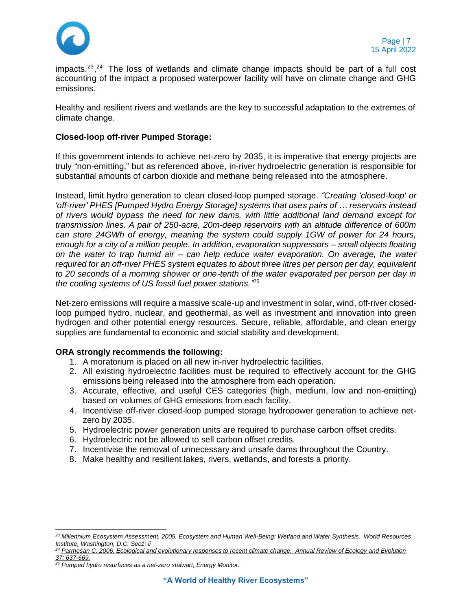

impacts.<sup>23</sup>,<sup>24</sup> The loss of wetlands and climate change impacts should be part of a full cost accounting of the impact a proposed waterpower facility will have on climate change and GHG emissions.

Healthy and resilient rivers and wetlands are the key to successful adaptation to the extremes of climate change.

### **Closed-loop off-river Pumped Storage:**

If this government intends to achieve net-zero by 2035, it is imperative that energy projects are truly "non-emitting," but as referenced above, in-river hydroelectric generation is responsible for substantial amounts of carbon dioxide and methane being released into the atmosphere.

Instead, limit hydro generation to clean closed-loop pumped storage. *"Creating 'closed-loop' or 'off-river' PHES [Pumped Hydro Energy Storage] systems that uses pairs of … reservoirs instead of rivers would bypass the need for new dams, with little additional land demand except for transmission lines. A pair of 250-acre, 20m-deep reservoirs with an altitude difference of 600m can store 24GWh of energy, meaning the system could supply 1GW of power for 24 hours, enough for a city of a million people. In addition, evaporation suppressors – small objects floating on the water to trap humid air – can help reduce water evaporation. On average, the water required for an off-river PHES system equates to about three litres per person per day, equivalent to 20 seconds of a morning shower or one-tenth of the water evaporated per person per day in the cooling systems of US fossil fuel power stations."* 25

Net-zero emissions will require a massive scale-up and investment in solar, wind, off-river closedloop pumped hydro, nuclear, and geothermal, as well as investment and innovation into green hydrogen and other potential energy resources. Secure, reliable, affordable, and clean energy supplies are fundamental to economic and social stability and development.

### **ORA strongly recommends the following:**

- 1. A moratorium is placed on all new in-river hydroelectric facilities.
- 2. All existing hydroelectric facilities must be required to effectively account for the GHG emissions being released into the atmosphere from each operation.
- 3. Accurate, effective, and useful CES categories (high, medium, low and non-emitting) based on volumes of GHG emissions from each facility.
- 4. Incentivise off-river closed-loop pumped storage hydropower generation to achieve netzero by 2035.
- 5. Hydroelectric power generation units are required to purchase carbon offset credits.
- 6. Hydroelectric not be allowed to sell carbon offset credits.
- 7. Incentivise the removal of unnecessary and unsafe dams throughout the Country.
- 8. Make healthy and resilient lakes, rivers, wetlands, and forests a priority.

*<sup>23</sup> Millennium Ecosystem Assessment. 2005. Ecosystem and Human Well-Being: Wetland and Water Synthesis. World Resources Institute, Washington, D.C. Sec1: ii*

*<sup>24</sup> [Parmesan C. 2006. Ecological and evolutionary responses to recent climate change. Annual Review of Ecology and Evolution](http://www.annualreviews.org/doi/abs/10.1146/annurev.ecolsys.37.091305.110100)  [37: 637-669.](http://www.annualreviews.org/doi/abs/10.1146/annurev.ecolsys.37.091305.110100)*

*<sup>25</sup> [Pumped hydro resurfaces as a net-zero stalwart, Energy Monitor.](https://www.energymonitor.ai/tech/energy-storage/pumped-hydro-resurfaces-as-a-net-zero-stalwart)*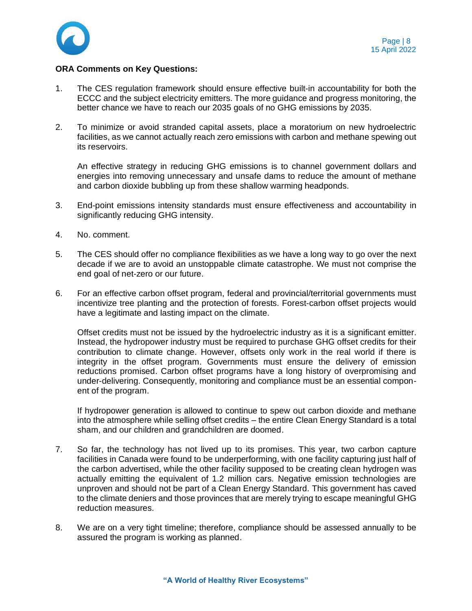

### **ORA Comments on Key Questions:**

- 1. The CES regulation framework should ensure effective built-in accountability for both the ECCC and the subject electricity emitters. The more guidance and progress monitoring, the better chance we have to reach our 2035 goals of no GHG emissions by 2035.
- 2. To minimize or avoid stranded capital assets, place a moratorium on new hydroelectric facilities, as we cannot actually reach zero emissions with carbon and methane spewing out its reservoirs.

An effective strategy in reducing GHG emissions is to channel government dollars and energies into removing unnecessary and unsafe dams to reduce the amount of methane and carbon dioxide bubbling up from these shallow warming headponds.

- 3. End-point emissions intensity standards must ensure effectiveness and accountability in significantly reducing GHG intensity.
- 4. No. comment.
- 5. The CES should offer no compliance flexibilities as we have a long way to go over the next decade if we are to avoid an unstoppable climate catastrophe. We must not comprise the end goal of net-zero or our future.
- 6. For an effective carbon offset program, federal and provincial/territorial governments must incentivize tree planting and the protection of forests. Forest-carbon offset projects would have a legitimate and lasting impact on the climate.

Offset credits must not be issued by the hydroelectric industry as it is a significant emitter. Instead, the hydropower industry must be required to purchase GHG offset credits for their contribution to climate change. However, offsets only work in the real world if there is integrity in the offset program. Governments must ensure the delivery of emission reductions promised. Carbon offset programs have a long history of overpromising and under-delivering. Consequently, monitoring and compliance must be an essential component of the program.

If hydropower generation is allowed to continue to spew out carbon dioxide and methane into the atmosphere while selling offset credits – the entire Clean Energy Standard is a total sham, and our children and grandchildren are doomed.

- 7. So far, the technology has not lived up to its promises. This year, two carbon capture facilities in Canada were found to be underperforming, with one facility capturing just half of the carbon advertised, while the other facility supposed to be creating clean hydrogen was actually emitting the equivalent of 1.2 million cars. Negative emission technologies are unproven and should not be part of a Clean Energy Standard. This government has caved to the climate deniers and those provinces that are merely trying to escape meaningful GHG reduction measures.
- 8. We are on a very tight timeline; therefore, compliance should be assessed annually to be assured the program is working as planned.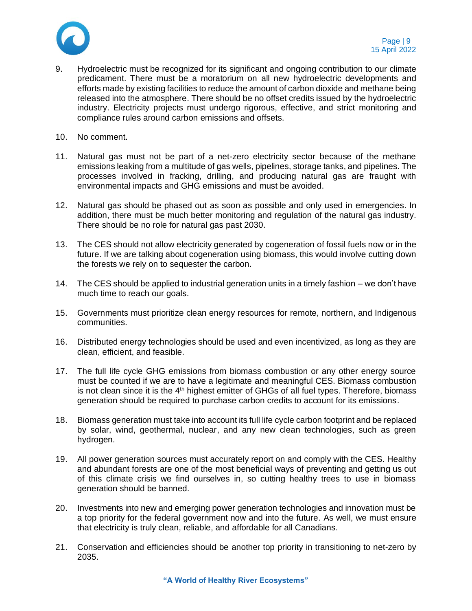

- 9. Hydroelectric must be recognized for its significant and ongoing contribution to our climate predicament. There must be a moratorium on all new hydroelectric developments and efforts made by existing facilities to reduce the amount of carbon dioxide and methane being released into the atmosphere. There should be no offset credits issued by the hydroelectric industry. Electricity projects must undergo rigorous, effective, and strict monitoring and compliance rules around carbon emissions and offsets.
- 10. No comment.
- 11. Natural gas must not be part of a net-zero electricity sector because of the methane emissions leaking from a multitude of gas wells, pipelines, storage tanks, and pipelines. The processes involved in fracking, drilling, and producing natural gas are fraught with environmental impacts and GHG emissions and must be avoided.
- 12. Natural gas should be phased out as soon as possible and only used in emergencies. In addition, there must be much better monitoring and regulation of the natural gas industry. There should be no role for natural gas past 2030.
- 13. The CES should not allow electricity generated by cogeneration of fossil fuels now or in the future. If we are talking about cogeneration using biomass, this would involve cutting down the forests we rely on to sequester the carbon.
- 14. The CES should be applied to industrial generation units in a timely fashion we don't have much time to reach our goals.
- 15. Governments must prioritize clean energy resources for remote, northern, and Indigenous communities.
- 16. Distributed energy technologies should be used and even incentivized, as long as they are clean, efficient, and feasible.
- 17. The full life cycle GHG emissions from biomass combustion or any other energy source must be counted if we are to have a legitimate and meaningful CES. Biomass combustion is not clean since it is the 4<sup>th</sup> highest emitter of GHGs of all fuel types. Therefore, biomass generation should be required to purchase carbon credits to account for its emissions.
- 18. Biomass generation must take into account its full life cycle carbon footprint and be replaced by solar, wind, geothermal, nuclear, and any new clean technologies, such as green hydrogen.
- 19. All power generation sources must accurately report on and comply with the CES. Healthy and abundant forests are one of the most beneficial ways of preventing and getting us out of this climate crisis we find ourselves in, so cutting healthy trees to use in biomass generation should be banned.
- 20. Investments into new and emerging power generation technologies and innovation must be a top priority for the federal government now and into the future. As well, we must ensure that electricity is truly clean, reliable, and affordable for all Canadians.
- 21. Conservation and efficiencies should be another top priority in transitioning to net-zero by 2035.